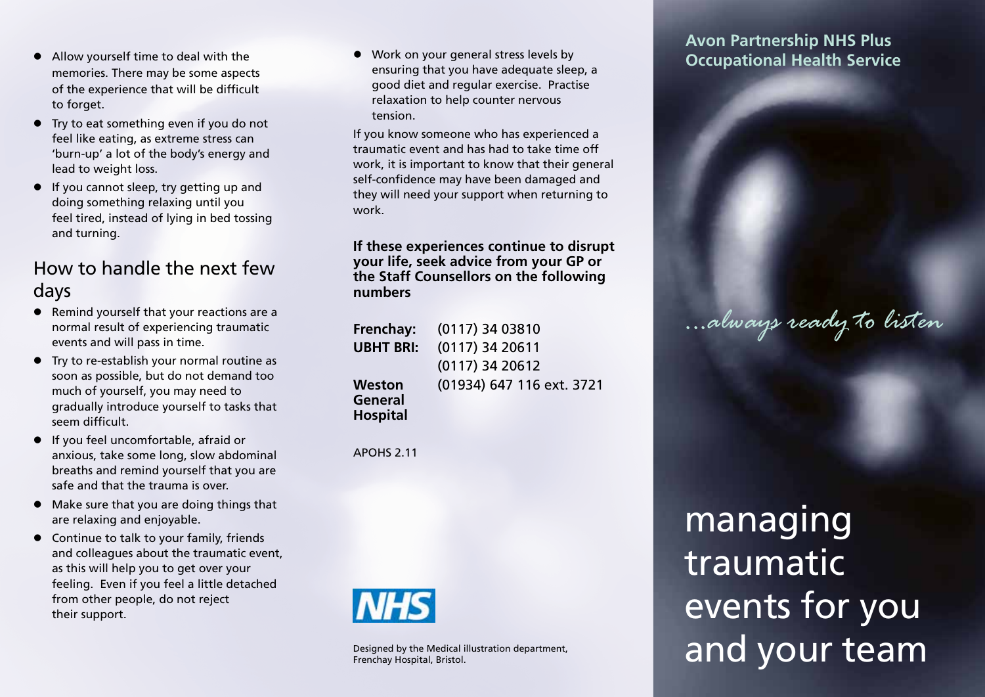- Allow yourself time to deal with the memories. There may be some aspects of the experience that will be difficult to forget.
- Try to eat something even if you do not feel like eating, as extreme stress can 'burn-up' a lot of the body's energy and lead to weight loss.
- If you cannot sleep, try getting up and doing something relaxing until you feel tired, instead of lying in bed tossing and turning.

# How to handle the next few days

- Remind yourself that your reactions are a normal result of experiencing traumatic events and will pass in time.
- Try to re-establish your normal routine as soon as possible, but do not demand too much of yourself, you may need to gradually introduce yourself to tasks that seem difficult.
- If you feel uncomfortable, afraid or anxious, take some long, slow abdominal breaths and remind yourself that you are safe and that the trauma is over.
- Make sure that you are doing things that are relaxing and enjoyable.
- Continue to talk to your family, friends and colleagues about the traumatic event, as this will help you to get over your feeling. Even if you feel a little detached from other people, do not reject their support.

• Work on your general stress levels by ensuring that you have adequate sleep, a good diet and regular exercise. Practise relaxation to help counter nervous tension.

If you know someone who has experienced a traumatic event and has had to take time off work, it is important to know that their general self-confidence may have been damaged and they will need your support when returning to work.

**If these experiences continue to disrupt your life, seek advice from your GP or the Staff Counsellors on the following numbers** 

| Frenchay:        | (0117) 34 03810           |
|------------------|---------------------------|
| <b>UBHT BRI:</b> | $(0117)$ 34 20611         |
|                  | $(0117)$ 34 20612         |
| <b>Weston</b>    | (01934) 647 116 ext. 3721 |
| General          |                           |
| <b>Hospital</b>  |                           |

APOHS 2.11



Designed by the Medical illustration department, Frenchay Hospital, Bristol.

**Avon Partnership NHS Plus Occupational Health Service**

# managing traumatic events for you and your team

*...always ready to listen*